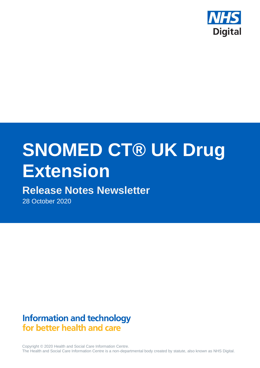

# **SNOMED CT® UK Drug Extension**

# **Release Notes Newsletter**

28 October 2020

# **Information and technology** for better health and care

Copyright © 2020 Health and Social Care Information Centre. The Health and Social Care Information Centre is a non-departmental body created by statute, also known as NHS Digital.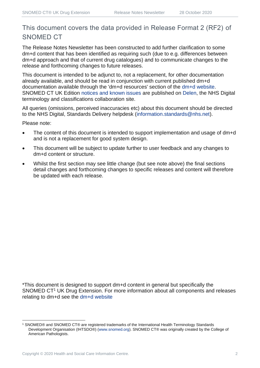## This document covers the data provided in Release Format 2 (RF2) of SNOMED CT

The Release Notes Newsletter has been constructed to add further clarification to some dm+d content that has been identified as requiring such (due to e.g. differences between dm+d approach and that of current drug catalogues) and to communicate changes to the release and forthcoming changes to future releases.

This document is intended to be adjunct to, not a replacement, for other documentation already available, and should be read in conjunction with current published dm+d documentation available through the 'dm+d resources' section of the [dm+d website.](https://www.nhsbsa.nhs.uk/pharmacies-gp-practices-and-appliance-contractors/dictionary-medicines-and-devices-dmd) SNOMED CT UK Edition [notices and known issues](https://hscic.kahootz.com/connect.ti/t_c_home/view?objectId=14224752) are published on [Delen,](https://hscic.kahootz.com/connect.ti/t_c_home) the NHS Digital terminology and classifications collaboration site.

All queries (omissions, perceived inaccuracies etc) about this document should be directed to the NHS Digital, Standards Delivery helpdesk [\(information.standards@nhs.net\)](mailto:information.standards@nhs.net).

Please note:

- The content of this document is intended to support implementation and usage of dm+d and is not a replacement for good system design.
- This document will be subject to update further to user feedback and any changes to dm+d content or structure.
- Whilst the first section may see little change (but see note above) the final sections detail changes and forthcoming changes to specific releases and content will therefore be updated with each release.

\*This document is designed to support dm+d content in general but specifically the SNOMED CT<sup>1</sup> UK Drug Extension. For more information about all components and releases relating to dm+d see the [dm+d website](https://www.nhsbsa.nhs.uk/pharmacies-gp-practices-and-appliance-contractors/dictionary-medicines-and-devices-dmd)

<sup>1</sup> SNOMED® and SNOMED CT® are registered trademarks of the International Health Terminology Standards Development Organisation (IHTSDO®) [\(www.snomed.org\)](http://www.snomed.org/). SNOMED CT® was originally created by the College of American Pathologists.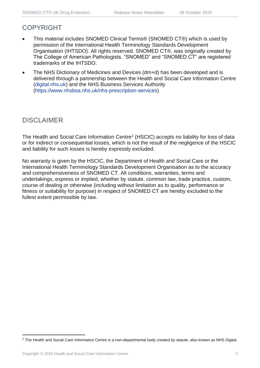## COPYRIGHT

- This material includes SNOMED Clinical Terms® (SNOMED CT®) which is used by permission of the International Health Terminology Standards Development Organisation (IHTSDO). All rights reserved. SNOMED CT®, was originally created by The College of American Pathologists. "SNOMED" and "SNOMED CT" are registered trademarks of the IHTSDO.
- The NHS Dictionary of Medicines and Devices (dm+d) has been developed and is delivered through a partnership between the Health and Social Care Information Centre [\(digital.nhs.uk\)](https://digital.nhs.uk/) and the NHS Business Services Authority [\(https://www.nhsbsa.nhs.uk/nhs-prescription-services\)](https://www.nhsbsa.nhs.uk/nhs-prescription-services)

## DISCLAIMER

The Health and Social Care Information Centre<sup>2</sup> (HSCIC) accepts no liability for loss of data or for indirect or consequential losses, which is not the result of the negligence of the HSCIC and liability for such losses is hereby expressly excluded.

No warranty is given by the HSCIC, the Department of Health and Social Care or the International Health Terminology Standards Development Organisation as to the accuracy and comprehensiveness of SNOMED CT. All conditions, warranties, terms and undertakings, express or implied, whether by statute, common law, trade practice, custom, course of dealing or otherwise (including without limitation as to quality, performance or fitness or suitability for purpose) in respect of SNOMED CT are hereby excluded to the fullest extent permissible by law.

<sup>&</sup>lt;sup>2</sup> The Health and Social Care Information Centre is a non-departmental body created by statute, also known as NHS Digital.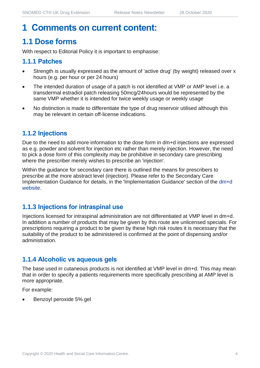# **1 Comments on current content:**

# **1.1 Dose forms**

With respect to Editorial Policy it is important to emphasise:

#### **1.1.1 Patches**

- Strength is usually expressed as the amount of 'active drug' (by weight) released over x hours (e.g. per hour or per 24 hours)
- The intended duration of usage of a patch is not identified at VMP or AMP level i.e. a transdermal estradiol patch releasing 50mcg/24hours would be represented by the same VMP whether it is intended for twice weekly usage or weekly usage
- No distinction is made to differentiate the type of drug reservoir utilised although this may be relevant in certain off-license indications.

#### **1.1.2 Injections**

Due to the need to add more information to the dose form in dm+d injections are expressed as e.g. powder and solvent for injection etc rather than merely injection. However, the need to pick a dose form of this complexity may be prohibitive in secondary care prescribing where the prescriber merely wishes to prescribe an 'injection'.

Within the guidance for secondary care there is outlined the means for prescribers to prescribe at the more abstract level (injection). Please refer to the Secondary Care Implementation Guidance for details, in the 'Implementation Guidance' section of the [dm+d](https://www.nhsbsa.nhs.uk/pharmacies-gp-practices-and-appliance-contractors/dictionary-medicines-and-devices-dmd)  [website.](https://www.nhsbsa.nhs.uk/pharmacies-gp-practices-and-appliance-contractors/dictionary-medicines-and-devices-dmd)

#### **1.1.3 Injections for intraspinal use**

Injections licensed for intraspinal administration are not differentiated at VMP level in dm+d. In addition a number of products that may be given by this route are unlicensed specials. For prescriptions requiring a product to be given by these high risk routes it is necessary that the suitability of the product to be administered is confirmed at the point of dispensing and/or administration.

#### **1.1.4 Alcoholic vs aqueous gels**

The base used in cutaneous products is not identified at VMP level in dm+d. This may mean that in order to specify a patients requirements more specifically prescribing at AMP level is more appropriate.

For example:

• Benzoyl peroxide 5% gel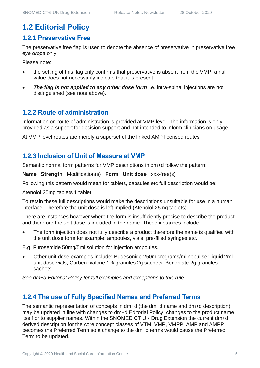# **1.2 Editorial Policy**

#### **1.2.1 Preservative Free**

The preservative free flag is used to denote the absence of preservative in preservative free *eye drops* only.

Please note:

- the setting of this flag only confirms that preservative is absent from the VMP; a null value does not necessarily indicate that it is present
- **The flag is not applied to any other dose form** i.e. intra-spinal injections are not distinguished (see note above).

#### **1.2.2 Route of administration**

Information on route of administration is provided at VMP level. The information is only provided as a support for decision support and not intended to inform clinicians on usage.

At VMP level routes are merely a superset of the linked AMP licensed routes.

#### **1.2.3 Inclusion of Unit of Measure at VMP**

Semantic normal form patterns for VMP descriptions in dm+d follow the pattern:

**Name Strength** Modification(s) **Form Unit dose** xxx-free(s)

Following this pattern would mean for tablets, capsules etc full description would be:

Atenolol 25mg tablets 1 tablet

To retain these full descriptions would make the descriptions unsuitable for use in a human interface. Therefore the unit dose is left implied (Atenolol 25mg tablets).

There are instances however where the form is insufficiently precise to describe the product and therefore the unit dose is included in the name. These instances include:

The form injection does not fully describe a product therefore the name is qualified with the unit dose form for example: ampoules, vials, pre-filled syringes etc.

E.g. Furosemide 50mg/5ml solution for injection ampoules.

• Other unit dose examples include: Budesonide 250micrograms/ml nebuliser liquid 2ml unit dose vials, Carbenoxalone 1% granules 2g sachets, Benorilate 2g granules sachets.

*See dm+d Editorial Policy for full examples and exceptions to this rule.*

#### **1.2.4 The use of Fully Specified Names and Preferred Terms**

The semantic representation of concepts in dm+d (the dm+d name and dm+d description) may be updated in line with changes to dm+d Editorial Policy, changes to the product name itself or to supplier names. Within the SNOMED CT UK Drug Extension the current dm+d derived description for the core concept classes of VTM, VMP, VMPP, AMP and AMPP becomes the Preferred Term so a change to the dm+d terms would cause the Preferred Term to be updated.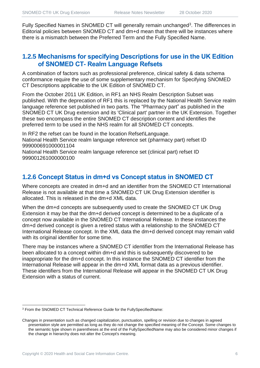Fully Specified Names in SNOMED CT will generally remain unchanged<sup>3</sup>. The differences in Editorial policies between SNOMED CT and dm+d mean that there will be instances where there is a mismatch between the Preferred Term and the Fully Specified Name.

#### **1.2.5 Mechanisms for specifying Descriptions for use in the UK Edition of SNOMED CT- Realm Language Refsets**

A combination of factors such as professional preference, clinical safety & data schema conformance require the use of some supplementary mechanism for Specifying SNOMED CT Descriptions applicable to the UK Edition of SNOMED CT.

From the October 2011 UK Edition, in RF1 an NHS Realm Description Subset was published. With the deprecation of RF1 this is replaced by the National Health Service realm language reference set published in two parts. The "Pharmacy part" as published in the SNOMED CT UK Drug extension and its 'Clinical part' partner in the UK Extension. Together these two encompass the entire SNOMED CT description content and identifies the preferred term to be used in the NHS realm for all SNOMED CT concepts.

In RF2 the refset can be found in the location Refset\Language. National Health Service realm language reference set (pharmacy part) refset ID 999000691000001104

National Health Service realm language reference set (clinical part) refset ID 999001261000000100

#### **1.2.6 Concept Status in dm+d vs Concept status in SNOMED CT**

Where concepts are created in dm+d and an identifier from the SNOMED CT International Release is not available at that time a SNOMED CT UK Drug Extension identifier is allocated. This is released in the dm+d XML data.

When the dm+d concepts are subsequently used to create the SNOMED CT UK Drug Extension it may be that the dm+d derived concept is determined to be a duplicate of a concept now available in the SNOMED CT International Release. In these instances the dm+d derived concept is given a retired status with a relationship to the SNOMED CT International Release concept. In the XML data the dm+d derived concept may remain valid with its original identifier for some time.

There may be instances where a SNOMED CT identifier from the International Release has been allocated to a concept within dm+d and this is subsequently discovered to be inappropriate for the dm+d concept. In this instance the SNOMED CT identifier from the International Release will appear in the dm+d XML format data as a previous identifier. These identifiers from the International Release will appear in the SNOMED CT UK Drug Extension with a status of current.

<sup>3</sup> From the SNOMED CT Technical Reference Guide for the FullySpecifiedName:

Changes in presentation such as changed capitalization, punctuation, spelling or revision due to changes in agreed presentation style are permitted as long as they do not change the specified meaning of the Concept. Some changes to the semantic type shown in parentheses at the end of the FullySpecifiedName may also be considered minor changes if the change in hierarchy does not alter the Concept's meaning.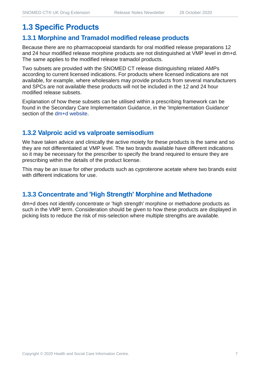# **1.3 Specific Products**

#### **1.3.1 Morphine and Tramadol modified release products**

Because there are no pharmacopoeial standards for oral modified release preparations 12 and 24 hour modified release morphine products are not distinguished at VMP level in dm+d. The same applies to the modified release tramadol products.

Two subsets are provided with the SNOMED CT release distinguishing related AMPs according to current licensed indications. For products where licensed indications are not available, for example, where wholesalers may provide products from several manufacturers and SPCs are not available these products will not be included in the 12 and 24 hour modified release subsets.

Explanation of how these subsets can be utilised within a prescribing framework can be found in the Secondary Care Implementation Guidance, in the 'Implementation Guidance' section of the [dm+d website.](https://www.nhsbsa.nhs.uk/pharmacies-gp-practices-and-appliance-contractors/dictionary-medicines-and-devices-dmd)

#### **1.3.2 Valproic acid vs valproate semisodium**

We have taken advice and clinically the active moiety for these products is the same and so they are not differentiated at VMP level. The two brands available have different indications so it may be necessary for the prescriber to specify the brand required to ensure they are prescribing within the details of the product license.

This may be an issue for other products such as cyproterone acetate where two brands exist with different indications for use.

#### **1.3.3 Concentrate and 'High Strength' Morphine and Methadone**

dm+d does not identify concentrate or 'high strength' morphine or methadone products as such in the VMP term. Consideration should be given to how these products are displayed in picking lists to reduce the risk of mis-selection where multiple strengths are available.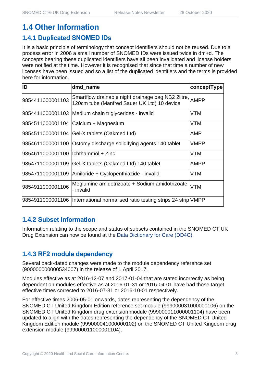# **1.4 Other Information**

#### **1.4.1 Duplicated SNOMED IDs**

It is a basic principle of terminology that concept identifiers should not be reused. Due to a process error in 2006 a small number of SNOMED IDs were issued twice in dm+d. The concepts bearing these duplicated identifiers have all been invalidated and license holders were notified at the time. However it is recognised that since that time a number of new licenses have been issued and so a list of the duplicated identifiers and the terms is provided here for information.

| ID                                   | dmd_name                                                                                               | conceptType |
|--------------------------------------|--------------------------------------------------------------------------------------------------------|-------------|
| 9854411000001103                     | Smartflow drainable night drainage bag NB2 2litre, AMPP<br>120cm tube (Manfred Sauer UK Ltd) 10 device |             |
|                                      | 9854411000001103 Medium chain triglycerides - invalid                                                  | VTM         |
|                                      | 9854511000001104 Calcium + Magnesium                                                                   | VTM         |
|                                      | 9854511000001104 Gel-X tablets (Oakmed Ltd)                                                            | AMP         |
|                                      | 9854611000001100 Ostomy discharge solidifying agents 140 tablet                                        | <b>VMPP</b> |
| 9854611000001100   Ichthammol + Zinc |                                                                                                        | VTM         |
|                                      | 9854711000001109 Gel-X tablets (Oakmed Ltd) 140 tablet                                                 | <b>AMPP</b> |
|                                      | 9854711000001109 Amiloride + Cyclopenthiazide - invalid                                                | VTM         |
| 9854911000001106                     | Meglumine amidotrizoate + Sodium amidotrizoate<br>- invalid                                            | VTM         |
|                                      | 9854911000001106  International normalised ratio testing strips 24 strip VMPP                          |             |

#### **1.4.2 Subset Information**

Information relating to the scope and status of subsets contained in the SNOMED CT UK Drug Extension can now be found at the [Data Dictionary for Care \(DD4C\).](https://dd4c.digital.nhs.uk/dd4c/)

### **1.4.3 RF2 module dependency**

Several back-dated changes were made to the module dependency reference set (900000000000534007) in the release of 1 April 2017.

Modules effective as at 2016-12-07 and 2017-01-04 that are stated incorrectly as being dependent on modules effective as at 2016-01-31 or 2016-04-01 have had those target effective times corrected to 2016-07-31 or 2016-10-01 respectively.

For effective times 2006-05-01 onwards, dates representing the dependency of the SNOMED CT United Kingdom Edition reference set module (999000031000000106) on the SNOMED CT United Kingdom drug extension module (999000011000001104) have been updated to align with the dates representing the dependency of the SNOMED CT United Kingdom Edition module (999000041000000102) on the SNOMED CT United Kingdom drug extension module (999000011000001104).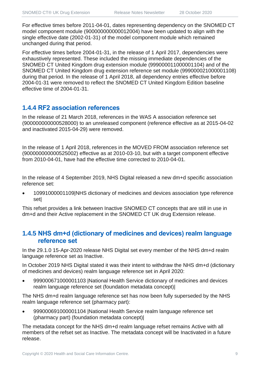For effective times before 2011-04-01, dates representing dependency on the SNOMED CT model component module (900000000000012004) have been updated to align with the single effective date (2002-01-31) of the model component module which remained unchanged during that period.

For effective times before 2004-01-31, in the release of 1 April 2017, dependencies were exhaustively represented. These included the missing immediate dependencies of the SNOMED CT United Kingdom drug extension module (999000011000001104) and of the SNOMED CT United Kingdom drug extension reference set module (999000021000001108) during that period. In the release of 1 April 2018, all dependency entries effective before 2004-01-31 were removed to reflect the SNOMED CT United Kingdom Edition baseline effective time of 2004-01-31.

#### **1.4.4 RF2 association references**

In the release of 21 March 2018, references in the WAS A association reference set (900000000000528000) to an unreleased component (reference effective as at 2015-04-02 and inactivated 2015-04-29) were removed.

In the release of 1 April 2018, references in the MOVED FROM association reference set (900000000000525002) effective as at 2010-03-10, but with a target component effective from 2010-04-01, have had the effective time corrected to 2010-04-01.

In the release of 4 September 2019, NHS Digital released a new dm+d specific association reference set:

• 10991000001109|NHS dictionary of medicines and devices association type reference set|

This refset provides a link between Inactive SNOMED CT concepts that are still in use in dm+d and their Active replacement in the SNOMED CT UK drug Extension release.

#### **1.4.5 NHS dm+d (dictionary of medicines and devices) realm language reference set**

In the 29.1.0 15-Apr-2020 release NHS Digital set every member of the NHS dm+d realm language reference set as Inactive.

In October 2019 NHS Digital stated it was their intent to withdraw the NHS dm+d (dictionary of medicines and devices) realm language reference set in April 2020:

• 999000671000001103 |National Health Service dictionary of medicines and devices realm language reference set (foundation metadata concept)|

The NHS dm+d realm language reference set has now been fully superseded by the NHS realm language reference set (pharmacy part):

• 999000691000001104 |National Health Service realm language reference set (pharmacy part) (foundation metadata concept)|

The metadata concept for the NHS dm+d realm language refset remains Active with all members of the refset set as Inactive. The metadata concept will be Inactivated in a future release.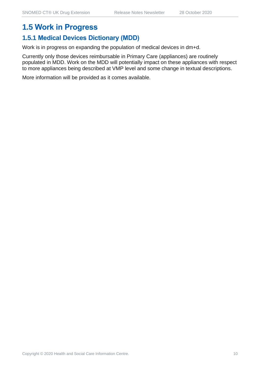# **1.5 Work in Progress**

#### **1.5.1 Medical Devices Dictionary (MDD)**

Work is in progress on expanding the population of medical devices in dm+d.

Currently only those devices reimbursable in Primary Care (appliances) are routinely populated in MDD. Work on the MDD will potentially impact on these appliances with respect to more appliances being described at VMP level and some change in textual descriptions.

More information will be provided as it comes available.